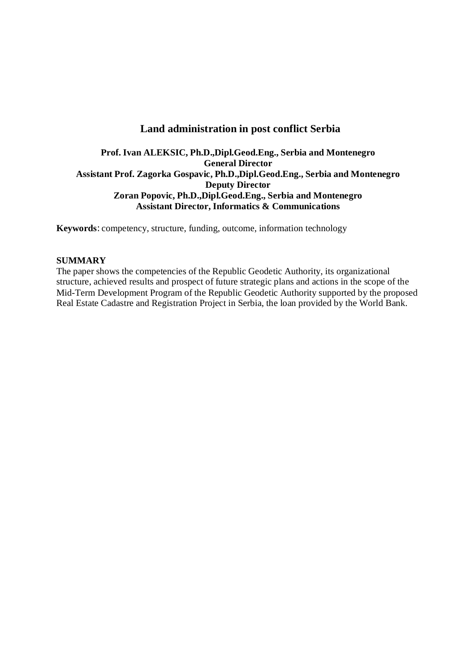# **Land administration in post conflict Serbia**

# **Prof. Ivan ALEKSIC, Ph.D.,Dipl.Geod.Eng., Serbia and Montenegro General Director Assistant Prof. Zagorka Gospavic, Ph.D.,Dipl.Geod.Eng., Serbia and Montenegro Deputy Director Zoran Popovic, Ph.D.,Dipl.Geod.Eng., Serbia and Montenegro Assistant Director, Informatics & Communications**

**Keywords**: competency, structure, funding, outcome, information technology

### **SUMMARY**

The paper shows the competencies of the Republic Geodetic Authority, its organizational structure, achieved results and prospect of future strategic plans and actions in the scope of the Mid-Term Development Program of the Republic Geodetic Authority supported by the proposed Real Estate Cadastre and Registration Project in Serbia, the loan provided by the World Bank.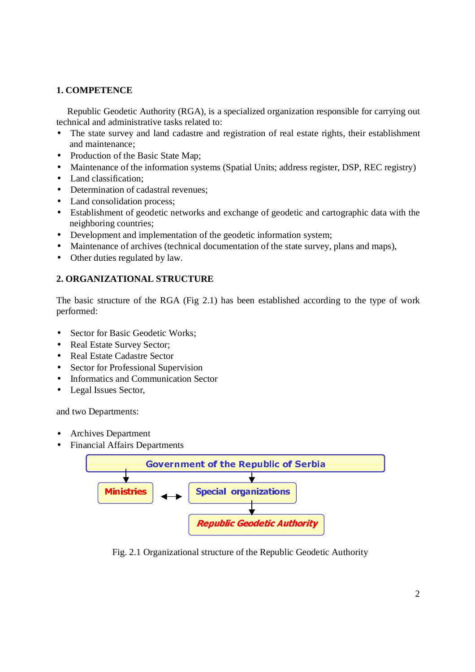# **1. COMPETENCE**

Republic Geodetic Authority (RGA), is a specialized organization responsible for carrying out technical and administrative tasks related to:

- The state survey and land cadastre and registration of real estate rights, their establishment and maintenance;
- Production of the Basic State Map;
- Maintenance of the information systems (Spatial Units; address register, DSP, REC registry)
- Land classification:
- Determination of cadastral revenues:
- Land consolidation process;
- Establishment of geodetic networks and exchange of geodetic and cartographic data with the neighboring countries;
- Development and implementation of the geodetic information system;
- Maintenance of archives (technical documentation of the state survey, plans and maps),
- Other duties regulated by law.

# **2. ORGANIZATIONAL STRUCTURE**

The basic structure of the RGA (Fig 2.1) has been established according to the type of work performed:

- Sector for Basic Geodetic Works;
- Real Estate Survey Sector;
- Real Estate Cadastre Sector
- Sector for Professional Supervision
- Informatics and Communication Sector
- Legal Issues Sector,

and two Departments:

- Archives Department
- Financial Affairs Departments



 Fig. 2.1 Organizational structure of the Republic Geodetic Authority Product a Structure of the Republic Geode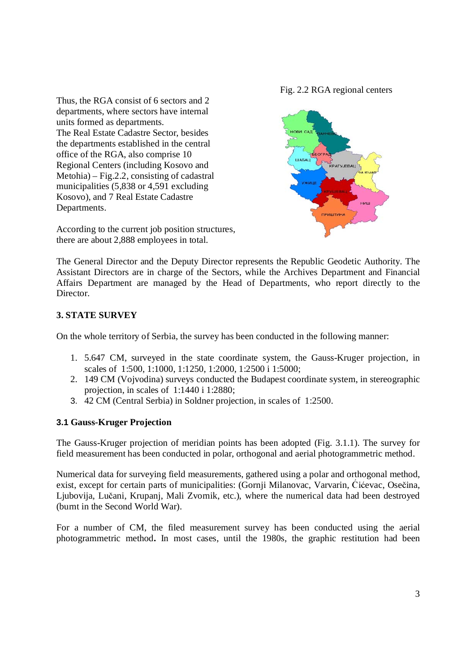Thus, the RGA consist of 6 sectors and 2 departments, where sectors have internal units formed as departments. The Real Estate Cadastre Sector, besides the departments established in the central office of the RGA, also comprise 10 Regional Centers (including Kosovo and Metohia) – Fig.2.2, consisting of cadastral municipalities (5,838 or 4,591 excluding Kosovo), and 7 Real Estate Cadastre Departments.

Fig. 2.2 RGA regional centers



According to the current job position structures, there are about 2,888 employees in total.

The General Director and the Deputy Director represents the Republic Geodetic Authority. The Assistant Directors are in charge of the Sectors, while the Archives Department and Financial Affairs Department are managed by the Head of Departments, who report directly to the Director.

# **3. STATE SURVEY**

On the whole territory of Serbia, the survey has been conducted in the following manner:

- 1. 5.647 CM, surveyed in the state coordinate system, the Gauss-Kruger projection, in scales of 1:500, 1:1000, 1:1250, 1:2000, 1:2500 i 1:5000;
- 2. 149 CM (Vojvodina) surveys conducted the Budapest coordinate system, in stereographic projection, in scales of 1:1440 i 1:2880;
- 3. 42 CM (Central Serbia) in Soldner projection, in scales of 1:2500.

### **3.1 Gauss-Kruger Projection**

The Gauss-Kruger projection of meridian points has been adopted (Fig. 3.1.1). The survey for field measurement has been conducted in polar, orthogonal and aerial photogrammetric method.

Numerical data for surveying field measurements, gathered using a polar and orthogonal method, exist, except for certain parts of municipalities: (Gornji Milanovac, Varvarin, Ćićevac, Osečina, Ljubovija, Lučani, Krupanj, Mali Zvornik, etc.), where the numerical data had been destroyed (burnt in the Second World War).

For a number of CM, the filed measurement survey has been conducted using the aerial photogrammetric method**.** In most cases, until the 1980s, the graphic restitution had been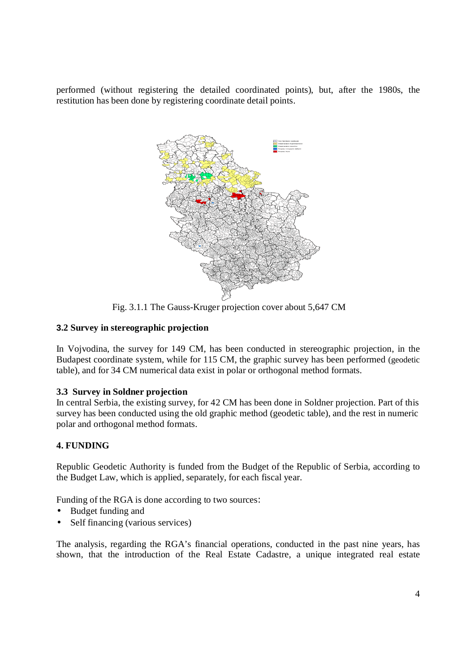performed (without registering the detailed coordinated points), but, after the 1980s, the restitution has been done by registering coordinate detail points.



Fig. 3.1.1 The Gauss-Kruger projection cover about 5,647 CM

# **3.2 Survey in stereographic projection**

In Vojvodina, the survey for 149 CM, has been conducted in stereographic projection, in the Budapest coordinate system, while for 115 CM, the graphic survey has been performed (geodetic table), and for 34 CM numerical data exist in polar or orthogonal method formats.

### **3.3 Survey in Soldner projection**

In central Serbia, the existing survey, for 42 CM has been done in Soldner projection. Part of this survey has been conducted using the old graphic method (geodetic table), and the rest in numeric polar and orthogonal method formats.

# **4. FUNDING**

Republic Geodetic Authority is funded from the Budget of the Republic of Serbia, according to the Budget Law, which is applied, separately, for each fiscal year.

Funding of the RGA is done according to two sources:

- Budget funding and
- Self financing (various services)

The analysis, regarding the RGA's financial operations, conducted in the past nine years, has shown, that the introduction of the Real Estate Cadastre, a unique integrated real estate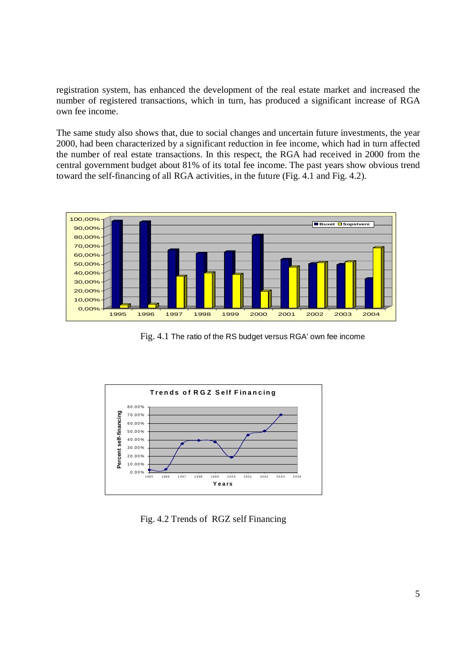registration system, has enhanced the development of the real estate market and increased the number of registered transactions, which in turn, has produced a significant increase of RGA own fee income.

The same study also shows that, due to social changes and uncertain future investments, the year 2000, had been characterized by a significant reduction in fee income, which had in turn affected the number of real estate transactions. In this respect, the RGA had received in 2000 from the central government budget about 81% of its total fee income. The past years show obvious trend toward the self-financing of all RGA activities, in the future (Fig. 4.1 and Fig. 4.2).



Fig. 4.1 The ratio of the RS budget versus RGA' own fee income



Fig. 4.2 Trends of RGZ self Financing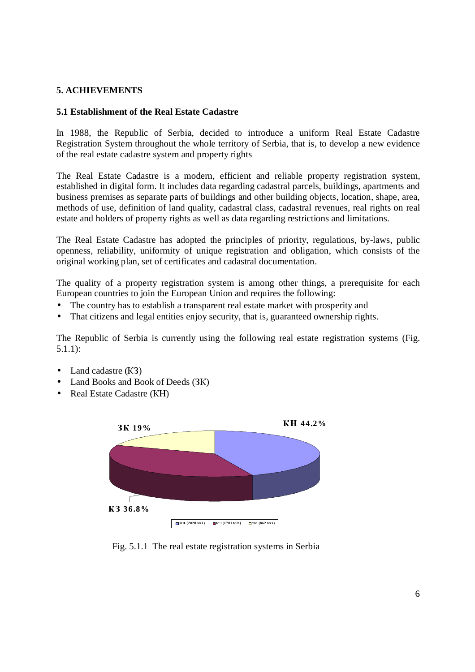# **5. ACHIEVEMENTS**

#### **5.1 Establishment of the Real Estate Cadastre**

In 1988, the Republic of Serbia, decided to introduce a uniform Real Estate Cadastre Registration System throughout the whole territory of Serbia, that is, to develop a new evidence of the real estate cadastre system and property rights

The Real Estate Cadastre is a modern, efficient and reliable property registration system, established in digital form. It includes data regarding cadastral parcels, buildings, apartments and business premises as separate parts of buildings and other building objects, location, shape, area, methods of use, definition of land quality, cadastral class, cadastral revenues, real rights on real estate and holders of property rights as well as data regarding restrictions and limitations.

The Real Estate Cadastre has adopted the principles of priority, regulations, by-laws, public openness, reliability, uniformity of unique registration and obligation, which consists of the original working plan, set of certificates and cadastral documentation.

The quality of a property registration system is among other things, a prerequisite for each European countries to join the European Union and requires the following:

- The country has to establish a transparent real estate market with prosperity and
- That citizens and legal entities enjoy security, that is, guaranteed ownership rights.

The Republic of Serbia is currently using the following real estate registration systems (Fig. 5.1.1):

- Land cadastre (K3)
- Land Books and Book of Deeds (3K)
- Real Estate Cadastre (KH)



Fig. 5.1.1 The real estate registration systems in Serbia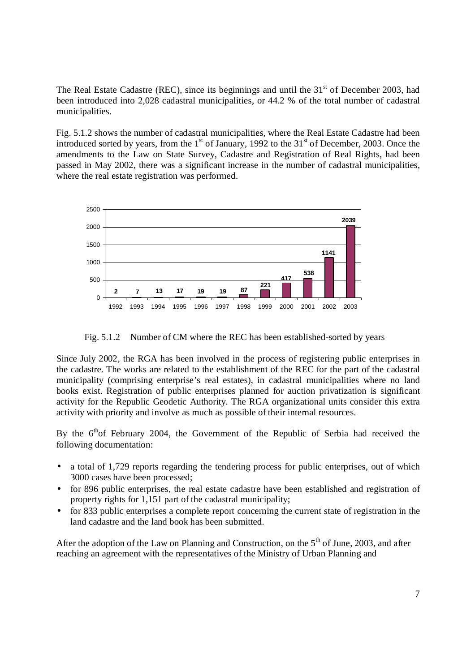The Real Estate Cadastre (REC), since its beginnings and until the  $31<sup>st</sup>$  of December 2003, had been introduced into 2,028 cadastral municipalities, or 44.2 % of the total number of cadastral municipalities.

Fig. 5.1.2 shows the number of cadastral municipalities, where the Real Estate Cadastre had been introduced sorted by years, from the  $1<sup>st</sup>$  of January, 1992 to the  $31<sup>st</sup>$  of December, 2003. Once the amendments to the Law on State Survey, Cadastre and Registration of Real Rights, had been passed in May 2002, there was a significant increase in the number of cadastral municipalities, where the real estate registration was performed.



Fig. 5.1.2 Number of CM where the REC has been established-sorted by years

Since July 2002, the RGA has been involved in the process of registering public enterprises in the cadastre. The works are related to the establishment of the REC for the part of the cadastral municipality (comprising enterprise's real estates), in cadastral municipalities where no land books exist. Registration of public enterprises planned for auction privatization is significant activity for the Republic Geodetic Authority. The RGA organizational units consider this extra activity with priority and involve as much as possible of their internal resources.

By the 6<sup>th</sup>of February 2004, the Government of the Republic of Serbia had received the following documentation:

- a total of 1,729 reports regarding the tendering process for public enterprises, out of which 3000 cases have been processed;
- for 896 public enterprises, the real estate cadastre have been established and registration of property rights for 1,151 part of the cadastral municipality;
- for 833 public enterprises a complete report concerning the current state of registration in the land cadastre and the land book has been submitted.

After the adoption of the Law on Planning and Construction, on the  $5<sup>th</sup>$  of June, 2003, and after reaching an agreement with the representatives of the Ministry of Urban Planning and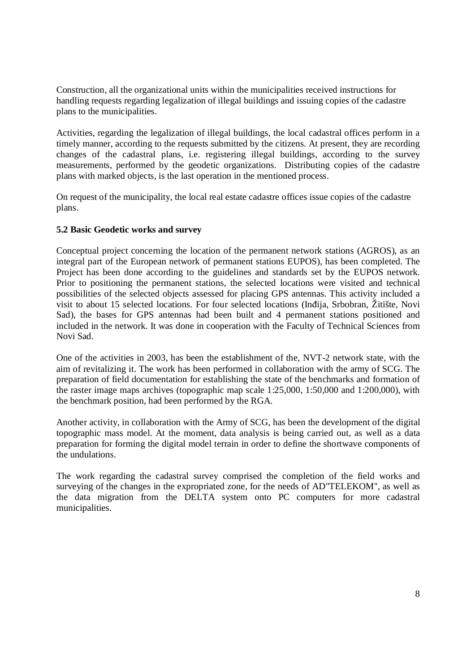Construction, all the organizational units within the municipalities received instructions for handling requests regarding legalization of illegal buildings and issuing copies of the cadastre plans to the municipalities.

Activities, regarding the legalization of illegal buildings, the local cadastral offices perform in a timely manner, according to the requests submitted by the citizens. At present, they are recording changes of the cadastral plans, i.e. registering illegal buildings, according to the survey measurements, performed by the geodetic organizations. Distributing copies of the cadastre plans with marked objects, is the last operation in the mentioned process.

On request of the municipality, the local real estate cadastre offices issue copies of the cadastre plans.

### **5.2 Basic Geodetic works and survey**

Conceptual project concerning the location of the permanent network stations (AGROS), as an integral part of the European network of permanent stations EUPOS), has been completed. The Project has been done according to the guidelines and standards set by the EUPOS network. Prior to positioning the permanent stations, the selected locations were visited and technical possibilities of the selected objects assessed for placing GPS antennas. This activity included a visit to about 15 selected locations. For four selected locations (Inđija, Srbobran, Žitište, Novi Sad), the bases for GPS antennas had been built and 4 permanent stations positioned and included in the network. It was done in cooperation with the Faculty of Technical Sciences from Novi Sad.

One of the activities in 2003, has been the establishment of the, NVT-2 network state, with the aim of revitalizing it. The work has been performed in collaboration with the army of SCG. The preparation of field documentation for establishing the state of the benchmarks and formation of the raster image maps archives (topographic map scale 1:25,000, 1:50,000 and 1:200,000), with the benchmark position, had been performed by the RGA.

Another activity, in collaboration with the Army of SCG, has been the development of the digital topographic mass model. At the moment, data analysis is being carried out, as well as a data preparation for forming the digital model terrain in order to define the shortwave components of the undulations.

The work regarding the cadastral survey comprised the completion of the field works and surveying of the changes in the expropriated zone, for the needs of AD"TELEKOM", as well as the data migration from the DELTA system onto PC computers for more cadastral municipalities.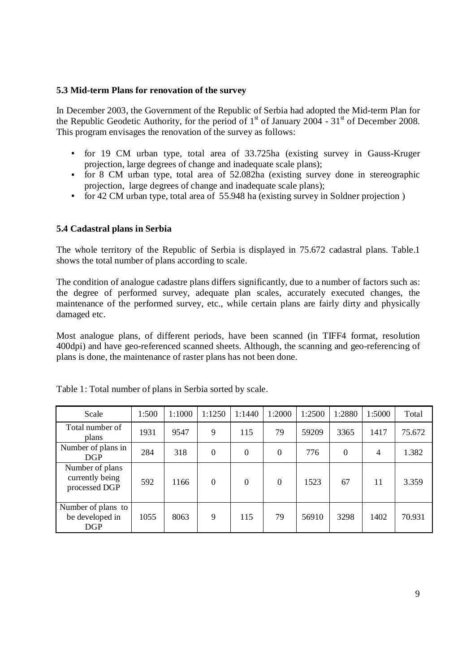### **5.3 Mid-term Plans for renovation of the survey**

In December 2003, the Government of the Republic of Serbia had adopted the Mid-term Plan for the Republic Geodetic Authority, for the period of  $1<sup>st</sup>$  of January 2004 - 31 $<sup>st</sup>$  of December 2008.</sup> This program envisages the renovation of the survey as follows:

- for 19 CM urban type, total area of 33.725ha (existing survey in Gauss-Kruger projection, large degrees of change and inadequate scale plans);
- for 8 CM urban type, total area of 52.082ha (existing survey done in stereographic projection, large degrees of change and inadequate scale plans);
- for 42 CM urban type, total area of 55.948 ha (existing survey in Soldner projection)

# **5.4 Cadastral plans in Serbia**

The whole territory of the Republic of Serbia is displayed in 75.672 cadastral plans. Table.1 shows the total number of plans according to scale.

The condition of analogue cadastre plans differs significantly, due to a number of factors such as: the degree of performed survey, adequate plan scales, accurately executed changes, the maintenance of the performed survey, etc., while certain plans are fairly dirty and physically damaged etc.

Most analogue plans, of different periods, have been scanned (in TIFF4 format, resolution 400dpi) and have geo-referenced scanned sheets. Although, the scanning and geo-referencing of plans is done, the maintenance of raster plans has not been done.

| Scale                                               | 1:500 | 1:1000 | 1:1250   | 1:1440   | 1:2000           | 1:2500 | 1:2880   | 1:5000 | Total  |
|-----------------------------------------------------|-------|--------|----------|----------|------------------|--------|----------|--------|--------|
| Total number of<br>plans                            | 1931  | 9547   | 9        | 115      | 79               | 59209  | 3365     | 1417   | 75.672 |
| Number of plans in<br><b>DGP</b>                    | 284   | 318    | $\theta$ | $\theta$ | $\boldsymbol{0}$ | 776    | $\Omega$ | 4      | 1.382  |
| Number of plans<br>currently being<br>processed DGP | 592   | 1166   | $\theta$ | $\theta$ | $\boldsymbol{0}$ | 1523   | 67       | 11     | 3.359  |
| Number of plans to<br>be developed in<br>DGP        | 1055  | 8063   | 9        | 115      | 79               | 56910  | 3298     | 1402   | 70.931 |

Table 1: Total number of plans in Serbia sorted by scale.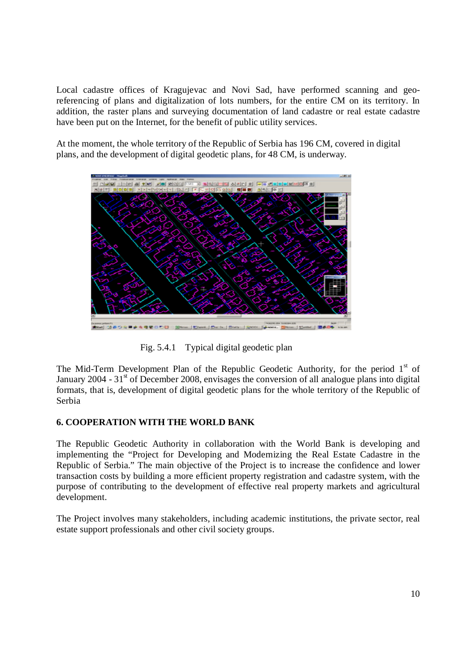Local cadastre offices of Kragujevac and Novi Sad, have performed scanning and georeferencing of plans and digitalization of lots numbers, for the entire CM on its territory. In addition, the raster plans and surveying documentation of land cadastre or real estate cadastre have been put on the Internet, for the benefit of public utility services.

At the moment, the whole territory of the Republic of Serbia has 196 CM, covered in digital plans, and the development of digital geodetic plans, for 48 CM, is underway.



Fig. 5.4.1 Typical digital geodetic plan

The Mid-Term Development Plan of the Republic Geodetic Authority, for the period  $1<sup>st</sup>$  of January 2004 -  $31<sup>st</sup>$  of December 2008, envisages the conversion of all analogue plans into digital formats, that is, development of digital geodetic plans for the whole territory of the Republic of Serbia

### **6. COOPERATION WITH THE WORLD BANK**

The Republic Geodetic Authority in collaboration with the World Bank is developing and implementing the "Project for Developing and Modernizing the Real Estate Cadastre in the Republic of Serbia." The main objective of the Project is to increase the confidence and lower transaction costs by building a more efficient property registration and cadastre system, with the purpose of contributing to the development of effective real property markets and agricultural development.

The Project involves many stakeholders, including academic institutions, the private sector, real estate support professionals and other civil society groups.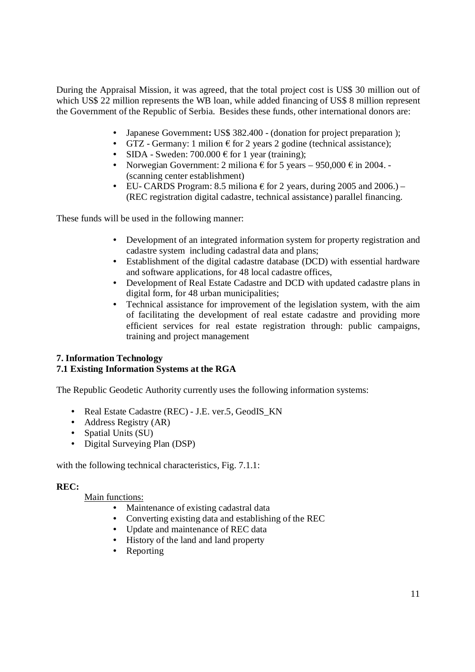During the Appraisal Mission, it was agreed, that the total project cost is US\$ 30 million out of which US\$ 22 million represents the WB loan, while added financing of US\$ 8 million represent the Government of the Republic of Serbia. Besides these funds, other international donors are:

- Japanese Government**:** US\$ 382.400 (donation for project preparation );
- GTZ Germany: 1 milion  $\epsilon$  for 2 years 2 godine (technical assistance);
- SIDA Sweden:  $700.000 \text{ } \in$  for 1 year (training);
- Norwegian Government: 2 miliona  $\epsilon$  for 5 years 950,000  $\epsilon$  in 2004. (scanning center establishment)
- EU- CARDS Program: 8.5 miliona  $\epsilon$  for 2 years, during 2005 and 2006.) (REC registration digital cadastre, technical assistance) parallel financing.

These funds will be used in the following manner:

- Development of an integrated information system for property registration and cadastre system including cadastral data and plans;
- Establishment of the digital cadastre database (DCD) with essential hardware and software applications, for 48 local cadastre offices,
- Development of Real Estate Cadastre and DCD with updated cadastre plans in digital form, for 48 urban municipalities;
- Technical assistance for improvement of the legislation system, with the aim of facilitating the development of real estate cadastre and providing more efficient services for real estate registration through: public campaigns, training and project management

# **7. Information Technology**

# **7.1 Existing Information Systems at the RGA**

The Republic Geodetic Authority currently uses the following information systems:

- Real Estate Cadastre (REC) J.E. ver.5, GeodIS\_KN
- Address Registry (AR)
- Spatial Units (SU)
- Digital Surveying Plan (DSP)

with the following technical characteristics, Fig. 7.1.1:

# **REC:**

Main functions:

- Maintenance of existing cadastral data
- Converting existing data and establishing of the REC
- Update and maintenance of REC data
- History of the land and land property
- Reporting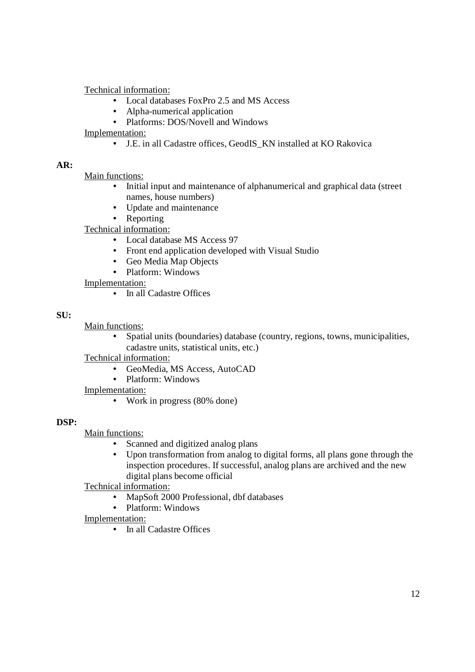Technical information:

- Local databases FoxPro 2.5 and MS Access
- Alpha-numerical application
- Platforms: DOS/Novell and Windows

Implementation:

• J.E. in all Cadastre offices, GeodIS\_KN installed at KO Rakovica

# **AR:**

Main functions:

- Initial input and maintenance of alphanumerical and graphical data (street names, house numbers)
- Update and maintenance
- Reporting

Technical information:

- Local database MS Access 97
- Front end application developed with Visual Studio
- Geo Media Map Objects
- Platform: Windows

Implementation:

• In all Cadastre Offices

# **SU:**

Main functions:

• Spatial units (boundaries) database (country, regions, towns, municipalities, cadastre units, statistical units, etc.)

Technical information:

- GeoMedia, MS Access, AutoCAD
- Platform: Windows

Implementation:

• Work in progress (80% done)

### **DSP:**

Main functions:

- Scanned and digitized analog plans
- Upon transformation from analog to digital forms, all plans gone through the inspection procedures. If successful, analog plans are archived and the new digital plans become official

Technical information:

- MapSoft 2000 Professional, dbf databases
- Platform: Windows
- Implementation:
	- In all Cadastre Offices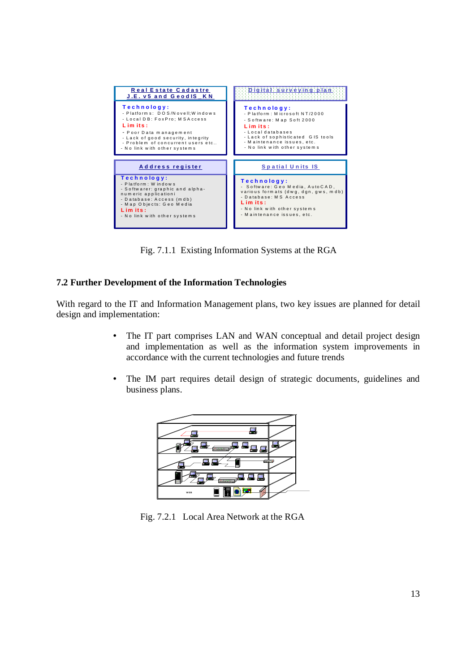

Fig. 7.1.1 Existing Information Systems at the RGA

# **7.2 Further Development of the Information Technologies**

With regard to the IT and Information Management plans, two key issues are planned for detail design and implementation:

- The IT part comprises LAN and WAN conceptual and detail project design and implementation as well as the information system improvements in accordance with the current technologies and future trends
- The IM part requires detail design of strategic documents, guidelines and business plans.



Fig. 7.2.1 Local Area Network at the RGA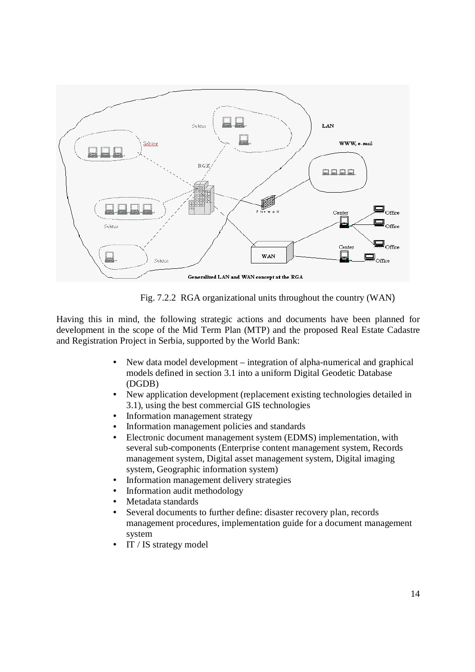

Fig. 7.2.2 RGA organizational units throughout the country (WAN)

Having this in mind, the following strategic actions and documents have been planned for development in the scope of the Mid Term Plan (MTP) and the proposed Real Estate Cadastre and Registration Project in Serbia, supported by the World Bank:

- New data model development integration of alpha-numerical and graphical models defined in section 3.1 into a uniform Digital Geodetic Database (DGDB)
- New application development (replacement existing technologies detailed in 3.1), using the best commercial GIS technologies
- Information management strategy
- Information management policies and standards
- Electronic document management system (EDMS) implementation, with several sub-components (Enterprise content management system, Records management system, Digital asset management system, Digital imaging system, Geographic information system)
- Information management delivery strategies
- Information audit methodology
- Metadata standards
- Several documents to further define: disaster recovery plan, records management procedures, implementation guide for a document management system
- IT / IS strategy model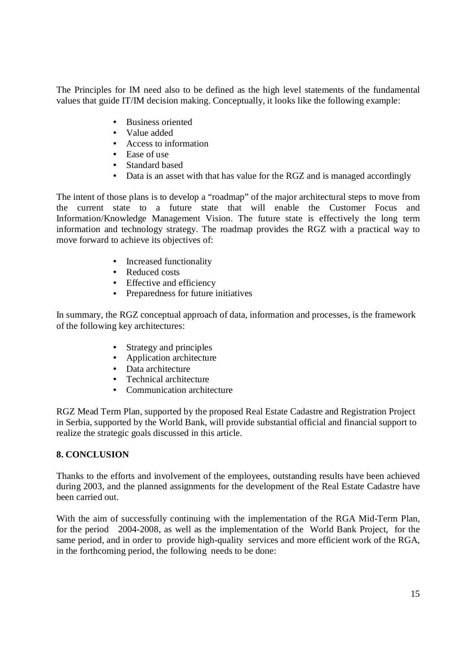The Principles for IM need also to be defined as the high level statements of the fundamental values that guide IT/IM decision making. Conceptually, it looks like the following example:

- Business oriented
- Value added
- Access to information
- Ease of use
- Standard based
- Data is an asset with that has value for the RGZ and is managed accordingly

The intent of those plans is to develop a "roadmap" of the major architectural steps to move from the current state to a future state that will enable the Customer Focus and Information/Knowledge Management Vision. The future state is effectively the long term information and technology strategy. The roadmap provides the RGZ with a practical way to move forward to achieve its objectives of:

- Increased functionality
- Reduced costs
- Effective and efficiency
- Preparedness for future initiatives

In summary, the RGZ conceptual approach of data, information and processes, is the framework of the following key architectures:

- Strategy and principles
- Application architecture
- Data architecture
- Technical architecture
- Communication architecture

RGZ Mead Term Plan, supported by the proposed Real Estate Cadastre and Registration Project in Serbia, supported by the World Bank, will provide substantial official and financial support to realize the strategic goals discussed in this article.

### **8. CONCLUSION**

Thanks to the efforts and involvement of the employees, outstanding results have been achieved during 2003, and the planned assignments for the development of the Real Estate Cadastre have been carried out.

With the aim of successfully continuing with the implementation of the RGA Mid-Term Plan, for the period 2004-2008, as well as the implementation of the World Bank Project, for the same period, and in order to provide high-quality services and more efficient work of the RGA, in the forthcoming period, the following needs to be done: